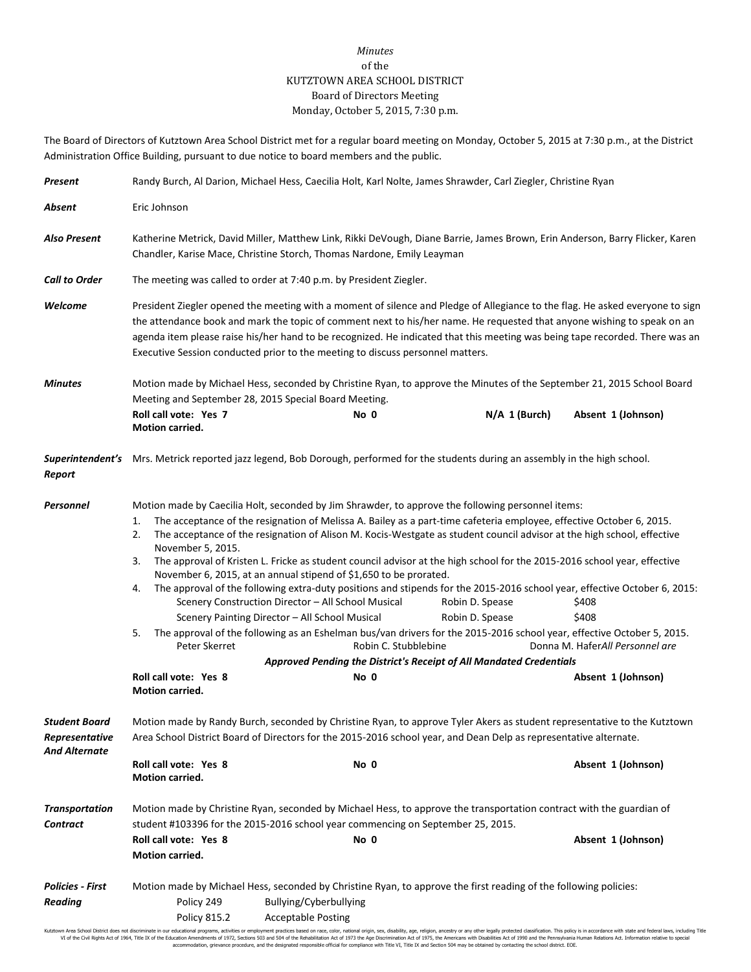## *Minutes* of the KUTZTOWN AREA SCHOOL DISTRICT Board of Directors Meeting Monday, October 5, 2015, 7:30 p.m.

The Board of Directors of Kutztown Area School District met for a regular board meeting on Monday, October 5, 2015 at 7:30 p.m., at the District Administration Office Building, pursuant to due notice to board members and the public.

| Present                                                 | Randy Burch, Al Darion, Michael Hess, Caecilia Holt, Karl Nolte, James Shrawder, Carl Ziegler, Christine Ryan                                                                                                                                                                                                                                                                                                                                                              |                                                                                                                                                                                                                                                                                                                                                                                                                                                                                                                                                                                                                                                                                                                                                                                                                                                                                                                                                                                                                            |                                    |                                                                         |  |
|---------------------------------------------------------|----------------------------------------------------------------------------------------------------------------------------------------------------------------------------------------------------------------------------------------------------------------------------------------------------------------------------------------------------------------------------------------------------------------------------------------------------------------------------|----------------------------------------------------------------------------------------------------------------------------------------------------------------------------------------------------------------------------------------------------------------------------------------------------------------------------------------------------------------------------------------------------------------------------------------------------------------------------------------------------------------------------------------------------------------------------------------------------------------------------------------------------------------------------------------------------------------------------------------------------------------------------------------------------------------------------------------------------------------------------------------------------------------------------------------------------------------------------------------------------------------------------|------------------------------------|-------------------------------------------------------------------------|--|
| Absent                                                  | Eric Johnson                                                                                                                                                                                                                                                                                                                                                                                                                                                               |                                                                                                                                                                                                                                                                                                                                                                                                                                                                                                                                                                                                                                                                                                                                                                                                                                                                                                                                                                                                                            |                                    |                                                                         |  |
| Also Present                                            | Katherine Metrick, David Miller, Matthew Link, Rikki DeVough, Diane Barrie, James Brown, Erin Anderson, Barry Flicker, Karen<br>Chandler, Karise Mace, Christine Storch, Thomas Nardone, Emily Leayman                                                                                                                                                                                                                                                                     |                                                                                                                                                                                                                                                                                                                                                                                                                                                                                                                                                                                                                                                                                                                                                                                                                                                                                                                                                                                                                            |                                    |                                                                         |  |
| <b>Call to Order</b>                                    | The meeting was called to order at 7:40 p.m. by President Ziegler.                                                                                                                                                                                                                                                                                                                                                                                                         |                                                                                                                                                                                                                                                                                                                                                                                                                                                                                                                                                                                                                                                                                                                                                                                                                                                                                                                                                                                                                            |                                    |                                                                         |  |
| Welcome                                                 | President Ziegler opened the meeting with a moment of silence and Pledge of Allegiance to the flag. He asked everyone to sign<br>the attendance book and mark the topic of comment next to his/her name. He requested that anyone wishing to speak on an<br>agenda item please raise his/her hand to be recognized. He indicated that this meeting was being tape recorded. There was an<br>Executive Session conducted prior to the meeting to discuss personnel matters. |                                                                                                                                                                                                                                                                                                                                                                                                                                                                                                                                                                                                                                                                                                                                                                                                                                                                                                                                                                                                                            |                                    |                                                                         |  |
| <b>Minutes</b>                                          | Motion made by Michael Hess, seconded by Christine Ryan, to approve the Minutes of the September 21, 2015 School Board<br>Meeting and September 28, 2015 Special Board Meeting.                                                                                                                                                                                                                                                                                            |                                                                                                                                                                                                                                                                                                                                                                                                                                                                                                                                                                                                                                                                                                                                                                                                                                                                                                                                                                                                                            |                                    |                                                                         |  |
|                                                         | Roll call vote: Yes 7<br><b>Motion carried.</b>                                                                                                                                                                                                                                                                                                                                                                                                                            | No 0                                                                                                                                                                                                                                                                                                                                                                                                                                                                                                                                                                                                                                                                                                                                                                                                                                                                                                                                                                                                                       | $N/A$ 1 (Burch)                    | Absent 1 (Johnson)                                                      |  |
| Report                                                  |                                                                                                                                                                                                                                                                                                                                                                                                                                                                            | Superintendent's Mrs. Metrick reported jazz legend, Bob Dorough, performed for the students during an assembly in the high school.                                                                                                                                                                                                                                                                                                                                                                                                                                                                                                                                                                                                                                                                                                                                                                                                                                                                                         |                                    |                                                                         |  |
| Personnel                                               | 1.<br>2.<br>November 5, 2015.<br>3.<br>4.<br>5.<br>Peter Skerret<br>Roll call vote: Yes 8                                                                                                                                                                                                                                                                                                                                                                                  | Motion made by Caecilia Holt, seconded by Jim Shrawder, to approve the following personnel items:<br>The acceptance of the resignation of Melissa A. Bailey as a part-time cafeteria employee, effective October 6, 2015.<br>The acceptance of the resignation of Alison M. Kocis-Westgate as student council advisor at the high school, effective<br>The approval of Kristen L. Fricke as student council advisor at the high school for the 2015-2016 school year, effective<br>November 6, 2015, at an annual stipend of \$1,650 to be prorated.<br>The approval of the following extra-duty positions and stipends for the 2015-2016 school year, effective October 6, 2015:<br>Scenery Construction Director - All School Musical<br>Scenery Painting Director - All School Musical<br>The approval of the following as an Eshelman bus/van drivers for the 2015-2016 school year, effective October 5, 2015.<br>Robin C. Stubblebine<br>Approved Pending the District's Receipt of All Mandated Credentials<br>No 0 | Robin D. Spease<br>Robin D. Spease | \$408<br>\$408<br>Donna M. HaferAll Personnel are<br>Absent 1 (Johnson) |  |
|                                                         | Motion carried.                                                                                                                                                                                                                                                                                                                                                                                                                                                            |                                                                                                                                                                                                                                                                                                                                                                                                                                                                                                                                                                                                                                                                                                                                                                                                                                                                                                                                                                                                                            |                                    |                                                                         |  |
| Student Board<br>Representative<br><b>And Alternate</b> | Motion made by Randy Burch, seconded by Christine Ryan, to approve Tyler Akers as student representative to the Kutztown<br>Area School District Board of Directors for the 2015-2016 school year, and Dean Delp as representative alternate.                                                                                                                                                                                                                              |                                                                                                                                                                                                                                                                                                                                                                                                                                                                                                                                                                                                                                                                                                                                                                                                                                                                                                                                                                                                                            |                                    |                                                                         |  |
|                                                         | Roll call vote: Yes 8<br>Motion carried.                                                                                                                                                                                                                                                                                                                                                                                                                                   | No 0                                                                                                                                                                                                                                                                                                                                                                                                                                                                                                                                                                                                                                                                                                                                                                                                                                                                                                                                                                                                                       |                                    | Absent 1 (Johnson)                                                      |  |
| <b>Transportation</b><br><b>Contract</b>                | Motion made by Christine Ryan, seconded by Michael Hess, to approve the transportation contract with the guardian of<br>student #103396 for the 2015-2016 school year commencing on September 25, 2015.                                                                                                                                                                                                                                                                    |                                                                                                                                                                                                                                                                                                                                                                                                                                                                                                                                                                                                                                                                                                                                                                                                                                                                                                                                                                                                                            |                                    |                                                                         |  |
|                                                         | Roll call vote: Yes 8<br>Motion carried.                                                                                                                                                                                                                                                                                                                                                                                                                                   | No 0                                                                                                                                                                                                                                                                                                                                                                                                                                                                                                                                                                                                                                                                                                                                                                                                                                                                                                                                                                                                                       |                                    | Absent 1 (Johnson)                                                      |  |
| <b>Policies - First</b><br><b>Reading</b>               | Policy 249<br><b>Policy 815.2</b>                                                                                                                                                                                                                                                                                                                                                                                                                                          | Motion made by Michael Hess, seconded by Christine Ryan, to approve the first reading of the following policies:<br>Bullying/Cyberbullying<br><b>Acceptable Posting</b>                                                                                                                                                                                                                                                                                                                                                                                                                                                                                                                                                                                                                                                                                                                                                                                                                                                    |                                    |                                                                         |  |

Kutztown Area School District does not discriminate in our educational programs, activities or employment practices based on race, color, national origin, sex, disability, age, religion, ancestry or any other leally prote